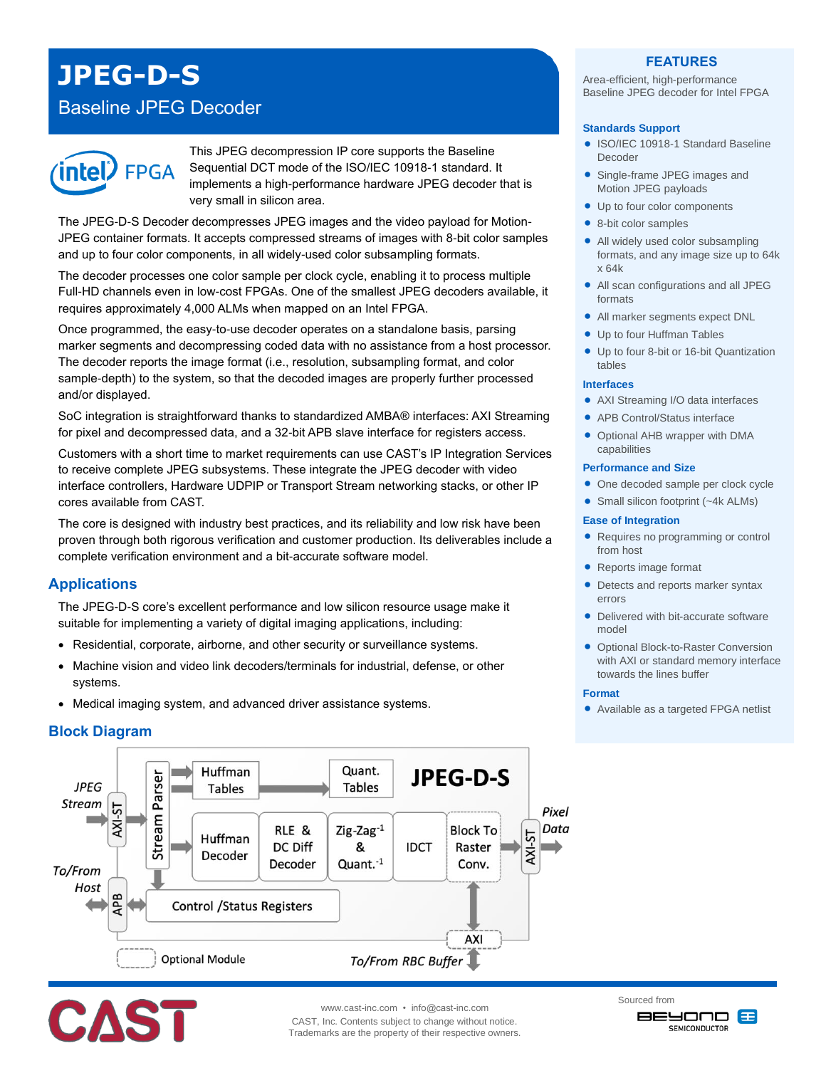# **JPEG-D-S**

## Baseline JPEG Decoder



This JPEG decompression IP core supports the Baseline Sequential DCT mode of the ISO/IEC 10918-1 standard. It implements a high-performance hardware JPEG decoder that is very small in silicon area.

The JPEG-D-S Decoder decompresses JPEG images and the video payload for Motion-JPEG container formats. It accepts compressed streams of images with 8-bit color samples and up to four color components, in all widely-used color subsampling formats.

The decoder processes one color sample per clock cycle, enabling it to process multiple Full-HD channels even in low-cost FPGAs. One of the smallest JPEG decoders available, it requires approximately 4,000 ALMs when mapped on an Intel FPGA.

Once programmed, the easy-to-use decoder operates on a standalone basis, parsing marker segments and decompressing coded data with no assistance from a host processor. The decoder reports the image format (i.e., resolution, subsampling format, and color sample-depth) to the system, so that the decoded images are properly further processed and/or displayed.

SoC integration is straightforward thanks to standardized AMBA® interfaces: AXI Streaming for pixel and decompressed data, and a 32-bit APB slave interface for registers access.

Customers with a short time to market requirements can use CAST's IP Integration Services to receive complete JPEG subsystems. These integrate the JPEG decoder with video interface controllers, Hardware UDPIP or Transport Stream networking stacks, or other IP cores available from CAST.

The core is designed with industry best practices, and its reliability and low risk have been proven through both rigorous verification and customer production. Its deliverables include a complete verification environment and a bit-accurate software model.

## **Applications**

The JPEG-D-S core's excellent performance and low silicon resource usage make it suitable for implementing a variety of digital imaging applications, including:

- Residential, corporate, airborne, and other security or surveillance systems.
- Machine vision and video link decoders/terminals for industrial, defense, or other systems.
- Medical imaging system, and advanced driver assistance systems.

## **Block Diagram**





www.cast-inc.com • info@cast-inc.com CAST, Inc. Contents subject to change without notice. Trademarks are the property of their respective owners.

## **FEATURES**

Area-efficient, high-performance Baseline JPEG decoder for Intel FPGA

#### **Standards Support**

- ISO/IEC 10918-1 Standard Baseline Decoder
- Single-frame JPEG images and Motion JPEG payloads
- Up to four color components
- 8-bit color samples
- All widely used color subsampling formats, and any image size up to 64k x 64k
- All scan configurations and all JPEG formats
- All marker segments expect DNL
- Up to four Huffman Tables
- Up to four 8-bit or 16-bit Quantization tables

#### **Interfaces**

- AXI Streaming I/O data interfaces
	- APB Control/Status interface
	- Optional AHB wrapper with DMA capabilities

#### **Performance and Size**

- One decoded sample per clock cycle
- Small silicon footprint (~4k ALMs)

#### **Ease of Integration**

- Requires no programming or control from host
- Reports image format
- Detects and reports marker syntax errors
- Delivered with bit-accurate software model
- **Optional Block-to-Raster Conversion** with AXI or standard memory interface towards the lines buffer

#### **Format**

Available as a targeted FPGA netlist